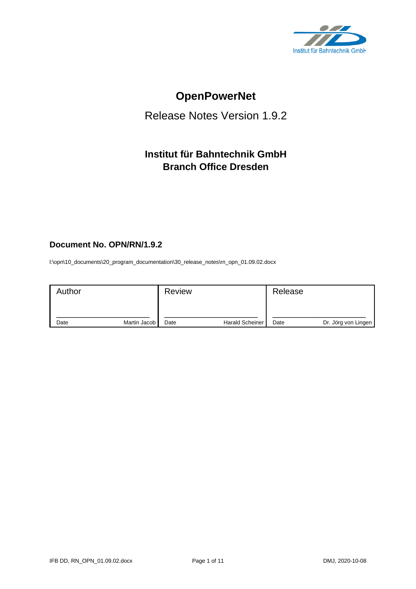

# **OpenPowerNet**

# Release Notes Version 1.9.2

# **Institut für Bahntechnik GmbH Branch Office Dresden**

# **Document No. OPN/RN/1.9.2**

l:\opn\10\_documents\20\_program\_documentation\30\_release\_notes\rn\_opn\_01.09.02.docx

| Author |              | <b>Review</b> |                        | Release |                     |
|--------|--------------|---------------|------------------------|---------|---------------------|
| Date   | Martin Jacob | Date          | <b>Harald Scheiner</b> | Date    | Dr. Jörg von Lingen |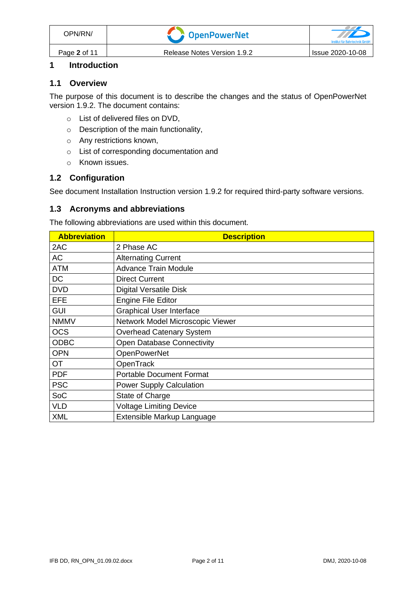# **1 Introduction**

#### **1.1 Overview**

The purpose of this document is to describe the changes and the status of OpenPowerNet version 1.9.2. The document contains:

- o List of delivered files on DVD,
- o Description of the main functionality,
- o Any restrictions known,
- o List of corresponding documentation and
- o Known issues.

#### **1.2 Configuration**

See document Installation Instruction version 1.9.2 for required third-party software versions.

#### **1.3 Acronyms and abbreviations**

The following abbreviations are used within this document.

| <b>Abbreviation</b> | <b>Description</b>               |
|---------------------|----------------------------------|
| 2AC                 | 2 Phase AC                       |
| <b>AC</b>           | <b>Alternating Current</b>       |
| <b>ATM</b>          | <b>Advance Train Module</b>      |
| <b>DC</b>           | <b>Direct Current</b>            |
| <b>DVD</b>          | <b>Digital Versatile Disk</b>    |
| <b>EFE</b>          | <b>Engine File Editor</b>        |
| <b>GUI</b>          | <b>Graphical User Interface</b>  |
| <b>NMMV</b>         | Network Model Microscopic Viewer |
| <b>OCS</b>          | <b>Overhead Catenary System</b>  |
| <b>ODBC</b>         | Open Database Connectivity       |
| <b>OPN</b>          | <b>OpenPowerNet</b>              |
| <b>OT</b>           | OpenTrack                        |
| <b>PDF</b>          | <b>Portable Document Format</b>  |
| <b>PSC</b>          | <b>Power Supply Calculation</b>  |
| SoC                 | State of Charge                  |
| <b>VLD</b>          | <b>Voltage Limiting Device</b>   |
| <b>XML</b>          | Extensible Markup Language       |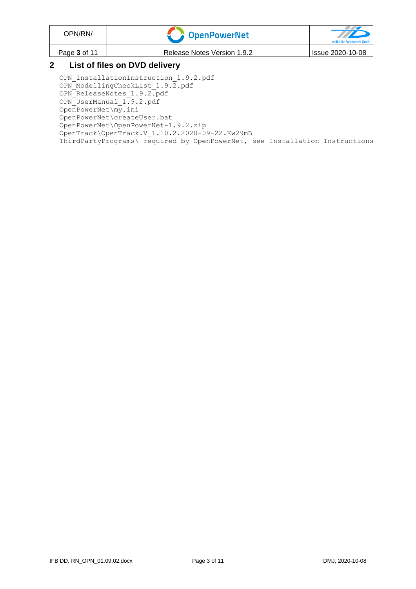| OPN/RN/                       | OpenPowerNet                | $\rightarrow$<br>Institut für Bahntechnik GmbH |  |
|-------------------------------|-----------------------------|------------------------------------------------|--|
| Page 3 of 11                  | Release Notes Version 1.9.2 | Issue 2020-10-08                               |  |
| List of files on DVD delivery |                             |                                                |  |

OPN InstallationInstruction 1.9.2.pdf OPN\_ModellingCheckList\_1.9.2.pdf OPN\_ReleaseNotes\_1.9.2.pdf OPN\_UserManual\_1.9.2.pdf OpenPowerNet\my.ini OpenPowerNet\createUser.bat OpenPowerNet\OpenPowerNet-1.9.2.zip OpenTrack\OpenTrack.V\_1.10.2.2020-09-22.Kw29mB ThirdPartyPrograms\ required by OpenPowerNet, see Installation Instructions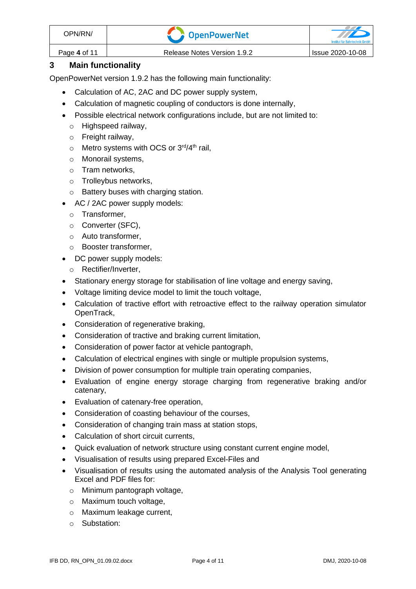| OPN/RN/      | <b>Component Control</b>    | Institut für Bahntechnik GmbF |
|--------------|-----------------------------|-------------------------------|
| Page 4 of 11 | Release Notes Version 1.9.2 | Issue 2020-10-08              |

# **3 Main functionality**

OpenPowerNet version 1.9.2 has the following main functionality:

- Calculation of AC, 2AC and DC power supply system,
- Calculation of magnetic coupling of conductors is done internally,
- Possible electrical network configurations include, but are not limited to:
	- o Highspeed railway,
	- o Freight railway,
	- $\circ$  Metro systems with OCS or 3<sup>rd</sup>/4<sup>th</sup> rail,
	- o Monorail systems,
	- o Tram networks,
	- o Trolleybus networks,
	- o Battery buses with charging station.
- AC / 2AC power supply models:
	- o Transformer,
	- o Converter (SFC),
	- o Auto transformer,
	- o Booster transformer,
- DC power supply models:
	- o Rectifier/Inverter,
- Stationary energy storage for stabilisation of line voltage and energy saving,
- Voltage limiting device model to limit the touch voltage,
- Calculation of tractive effort with retroactive effect to the railway operation simulator OpenTrack,
- Consideration of regenerative braking,
- Consideration of tractive and braking current limitation,
- Consideration of power factor at vehicle pantograph,
- Calculation of electrical engines with single or multiple propulsion systems,
- Division of power consumption for multiple train operating companies,
- Evaluation of engine energy storage charging from regenerative braking and/or catenary,
- Evaluation of catenary-free operation,
- Consideration of coasting behaviour of the courses,
- Consideration of changing train mass at station stops,
- Calculation of short circuit currents,
- Quick evaluation of network structure using constant current engine model,
- Visualisation of results using prepared Excel-Files and
- Visualisation of results using the automated analysis of the Analysis Tool generating Excel and PDF files for:
	- o Minimum pantograph voltage,
	- o Maximum touch voltage,
	- o Maximum leakage current,
	- o Substation: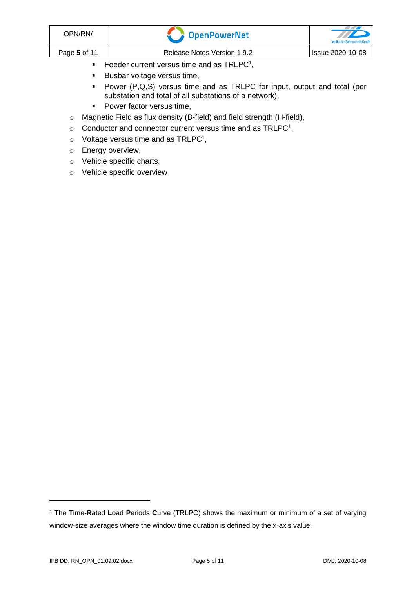| OPN/RN/              | <b>T</b> OpenPowerNet       | <b>THE REAL PROPERTY</b><br>Institut für Bahntechnik GmbF |  |
|----------------------|-----------------------------|-----------------------------------------------------------|--|
| Page 5 of 11         | Release Notes Version 1.9.2 | Issue 2020-10-08                                          |  |
| <b>FILL A PRIDAL</b> |                             |                                                           |  |

- <span id="page-4-0"></span> $\blacksquare$  Feeder current versus time and as TRLPC<sup>1</sup>,
- Busbar voltage versus time,
- Power (P,Q,S) versus time and as TRLPC for input, output and total (per substation and total of all substations of a network),
- Power factor versus time,
- o Magnetic Field as flux density (B-field) and field strength (H-field),
- $\circ$  [C](#page-4-0)onductor and connector current versus time and as TRLPC<sup>1</sup>,
- $\circ$  Voltage versus time and as TRLPC<sup>[1](#page-4-0)</sup>,
- o Energy overview,
- o Vehicle specific charts,
- o Vehicle specific overview

<sup>1</sup> The **T**ime-**R**ated **L**oad **P**eriods **C**urve (TRLPC) shows the maximum or minimum of a set of varying window-size averages where the window time duration is defined by the x-axis value.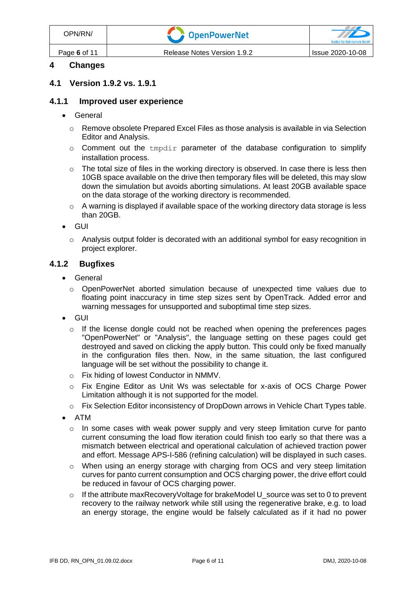| OPN/RN/      | <b>T</b> DpenPowerNet       | Institut für Bahntechnik GmbH |
|--------------|-----------------------------|-------------------------------|
| Page 6 of 11 | Release Notes Version 1.9.2 | Issue 2020-10-08              |

# **4 Changes**

#### **4.1 Version 1.9.2 vs. 1.9.1**

#### **4.1.1 Improved user experience**

- General
	- $\circ$  Remove obsolete Prepared Excel Files as those analysis is available in via Selection Editor and Analysis.
	- $\circ$  Comment out the  $tmpdir$  parameter of the database configuration to simplify installation process.
	- $\circ$  The total size of files in the working directory is observed. In case there is less then 10GB space available on the drive then temporary files will be deleted, this may slow down the simulation but avoids aborting simulations. At least 20GB available space on the data storage of the working directory is recommended.
	- $\circ$  A warning is displayed if available space of the working directory data storage is less than 20GB.
- GUI
	- $\circ$  Analysis output folder is decorated with an additional symbol for easy recognition in project explorer.

#### **4.1.2 Bugfixes**

- General
	- o OpenPowerNet aborted simulation because of unexpected time values due to floating point inaccuracy in time step sizes sent by OpenTrack. Added error and warning messages for unsupported and suboptimal time step sizes.
- GUI
	- o If the license dongle could not be reached when opening the preferences pages "OpenPowerNet" or "Analysis", the language setting on these pages could get destroyed and saved on clicking the apply button. This could only be fixed manually in the configuration files then. Now, in the same situation, the last configured language will be set without the possibility to change it.
	- o Fix hiding of lowest Conductor in NMMV.
	- o Fix Engine Editor as Unit Ws was selectable for x-axis of OCS Charge Power Limitation although it is not supported for the model.
	- $\circ$  Fix Selection Editor inconsistency of DropDown arrows in Vehicle Chart Types table.
- ATM
	- o In some cases with weak power supply and very steep limitation curve for panto current consuming the load flow iteration could finish too early so that there was a mismatch between electrical and operational calculation of achieved traction power and effort. Message APS-I-586 (refining calculation) will be displayed in such cases.
	- o When using an energy storage with charging from OCS and very steep limitation curves for panto current consumption and OCS charging power, the drive effort could be reduced in favour of OCS charging power.
	- $\circ$  If the attribute maxRecoveryVoltage for brakeModel U source was set to 0 to prevent recovery to the railway network while still using the regenerative brake, e.g. to load an energy storage, the engine would be falsely calculated as if it had no power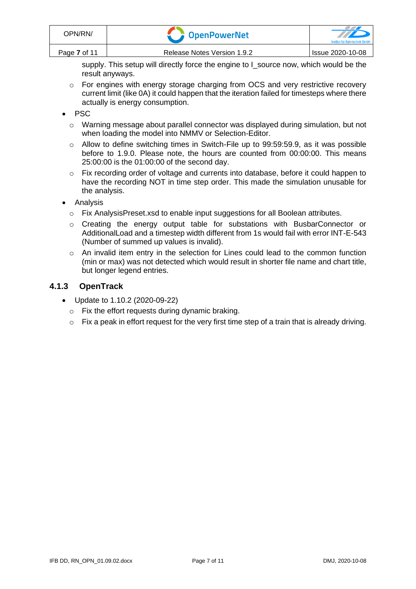supply. This setup will directly force the engine to I\_source now, which would be the result anyways.

 $\circ$  For engines with energy storage charging from OCS and very restrictive recovery current limit (like 0A) it could happen that the iteration failed for timesteps where there actually is energy consumption.

### • PSC

- o Warning message about parallel connector was displayed during simulation, but not when loading the model into NMMV or Selection-Editor.
- o Allow to define switching times in Switch-File up to 99:59:59.9, as it was possible before to 1.9.0. Please note, the hours are counted from 00:00:00. This means 25:00:00 is the 01:00:00 of the second day.
- o Fix recording order of voltage and currents into database, before it could happen to have the recording NOT in time step order. This made the simulation unusable for the analysis.
- Analysis
	- o Fix AnalysisPreset.xsd to enable input suggestions for all Boolean attributes.
	- o Creating the energy output table for substations with BusbarConnector or AdditionalLoad and a timestep width different from 1s would fail with error INT-E-543 (Number of summed up values is invalid).
	- $\circ$  An invalid item entry in the selection for Lines could lead to the common function (min or max) was not detected which would result in shorter file name and chart title, but longer legend entries.

# **4.1.3 OpenTrack**

- Update to 1.10.2 (2020-09-22)
	- o Fix the effort requests during dynamic braking.
	- o Fix a peak in effort request for the very first time step of a train that is already driving.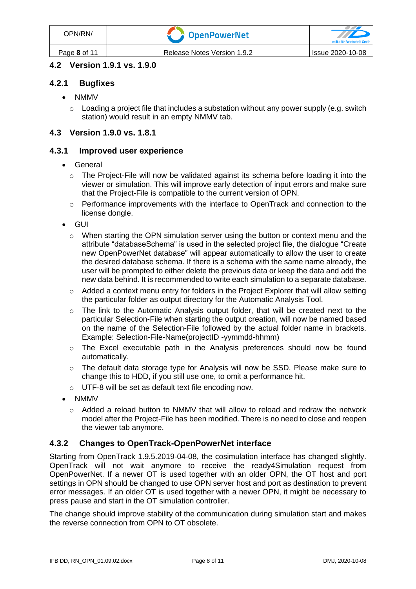# **4.2 Version 1.9.1 vs. 1.9.0**

### **4.2.1 Bugfixes**

- NMMV
	- $\circ$  Loading a project file that includes a substation without any power supply (e.g. switch station) would result in an empty NMMV tab.

### **4.3 Version 1.9.0 vs. 1.8.1**

#### **4.3.1 Improved user experience**

- General
	- $\circ$  The Project-File will now be validated against its schema before loading it into the viewer or simulation. This will improve early detection of input errors and make sure that the Project-File is compatible to the current version of OPN.
	- $\circ$  Performance improvements with the interface to OpenTrack and connection to the license dongle.
- GUI
	- $\circ$  When starting the OPN simulation server using the button or context menu and the attribute "databaseSchema" is used in the selected project file, the dialogue "Create new OpenPowerNet database" will appear automatically to allow the user to create the desired database schema. If there is a schema with the same name already, the user will be prompted to either delete the previous data or keep the data and add the new data behind. It is recommended to write each simulation to a separate database.
	- $\circ$  Added a context menu entry for folders in the Project Explorer that will allow setting the particular folder as output directory for the Automatic Analysis Tool.
	- o The link to the Automatic Analysis output folder, that will be created next to the particular Selection-File when starting the output creation, will now be named based on the name of the Selection-File followed by the actual folder name in brackets. Example: Selection-File-Name(projectID -yymmdd-hhmm)
	- $\circ$  The Excel executable path in the Analysis preferences should now be found automatically.
	- o The default data storage type for Analysis will now be SSD. Please make sure to change this to HDD, if you still use one, to omit a performance hit.
	- o UTF-8 will be set as default text file encoding now.
- NMMV
	- $\circ$  Added a reload button to NMMV that will allow to reload and redraw the network model after the Project-File has been modified. There is no need to close and reopen the viewer tab anymore.

#### **4.3.2 Changes to OpenTrack-OpenPowerNet interface**

Starting from OpenTrack 1.9.5.2019-04-08, the cosimulation interface has changed slightly. OpenTrack will not wait anymore to receive the ready4Simulation request from OpenPowerNet. If a newer OT is used together with an older OPN, the OT host and port settings in OPN should be changed to use OPN server host and port as destination to prevent error messages. If an older OT is used together with a newer OPN, it might be necessary to press pause and start in the OT simulation controller.

The change should improve stability of the communication during simulation start and makes the reverse connection from OPN to OT obsolete.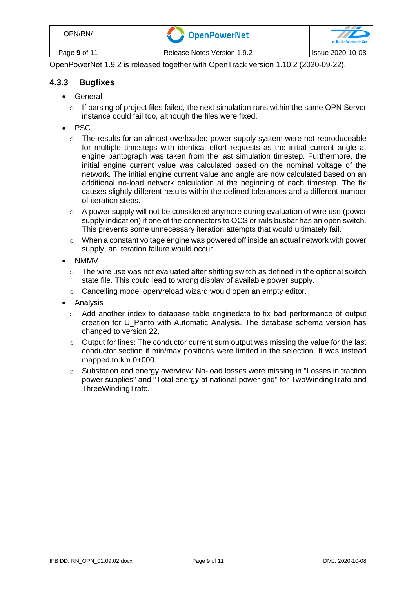| OPN/RN/      | <b>CopenPowerNet</b>        | Institut für Bahntechnik GmbH |
|--------------|-----------------------------|-------------------------------|
| Page 9 of 11 | Release Notes Version 1.9.2 | Issue 2020-10-08              |

OpenPowerNet 1.9.2 is released together with OpenTrack version 1.10.2 (2020-09-22).

### **4.3.3 Bugfixes**

- General
	- $\circ$  If parsing of project files failed, the next simulation runs within the same OPN Server instance could fail too, although the files were fixed.
- PSC
	- o The results for an almost overloaded power supply system were not reproduceable for multiple timesteps with identical effort requests as the initial current angle at engine pantograph was taken from the last simulation timestep. Furthermore, the initial engine current value was calculated based on the nominal voltage of the network. The initial engine current value and angle are now calculated based on an additional no-load network calculation at the beginning of each timestep. The fix causes slightly different results within the defined tolerances and a different number of iteration steps.
	- $\circ$  A power supply will not be considered anymore during evaluation of wire use (power supply indication) if one of the connectors to OCS or rails busbar has an open switch. This prevents some unnecessary iteration attempts that would ultimately fail.
	- $\circ$  When a constant voltage engine was powered off inside an actual network with power supply, an iteration failure would occur.
- NMMV
	- o The wire use was not evaluated after shifting switch as defined in the optional switch state file. This could lead to wrong display of available power supply.
	- o Cancelling model open/reload wizard would open an empty editor.
- Analysis
	- $\circ$  Add another index to database table enginedata to fix bad performance of output creation for U\_Panto with Automatic Analysis. The database schema version has changed to version 22.
	- $\circ$  Output for lines: The conductor current sum output was missing the value for the last conductor section if min/max positions were limited in the selection. It was instead mapped to km 0+000.
	- $\circ$  Substation and energy overview: No-load losses were missing in "Losses in traction power supplies" and "Total energy at national power grid" for TwoWindingTrafo and ThreeWindingTrafo.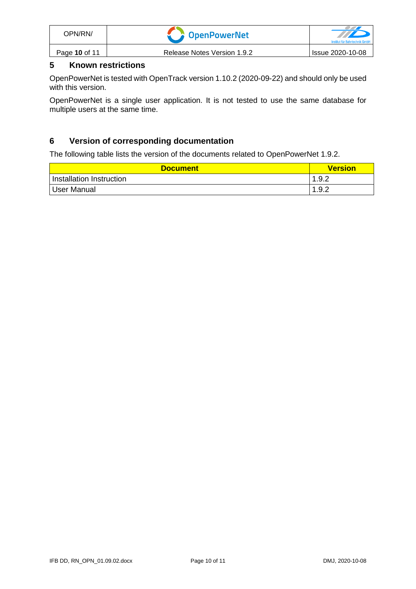| OPN/RN/       | <b>T</b> OpenPowerNet       | Institut für Bahntechnik GmbF |
|---------------|-----------------------------|-------------------------------|
| Page 10 of 11 | Release Notes Version 1.9.2 | Issue 2020-10-08              |

## **5 Known restrictions**

OpenPowerNet is tested with OpenTrack version 1.10.2 (2020-09-22) and should only be used with this version.

OpenPowerNet is a single user application. It is not tested to use the same database for multiple users at the same time.

### **6 Version of corresponding documentation**

The following table lists the version of the documents related to OpenPowerNet 1.9.2.

| <b>Document</b>          | <b>Version</b> |
|--------------------------|----------------|
| Installation Instruction | 1.9.2          |
| User Manual              | 1.9.2          |